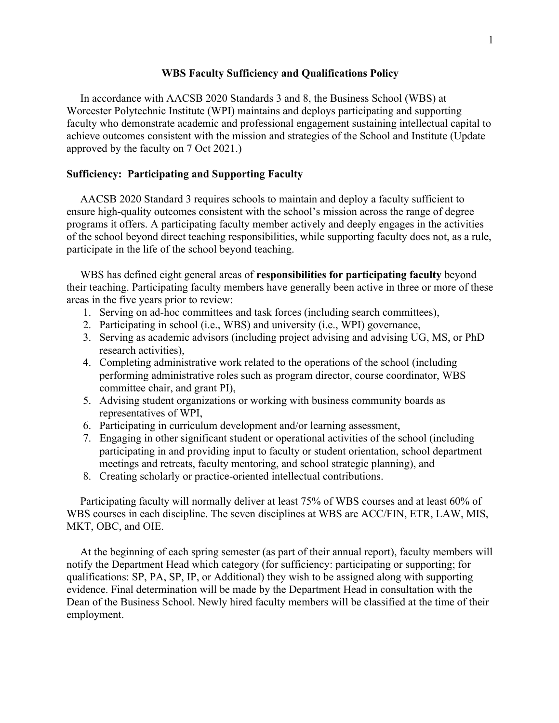## **WBS Faculty Sufficiency and Qualifications Policy**

 In accordance with AACSB 2020 Standards 3 and 8, the Business School (WBS) at Worcester Polytechnic Institute (WPI) maintains and deploys participating and supporting faculty who demonstrate academic and professional engagement sustaining intellectual capital to achieve outcomes consistent with the mission and strategies of the School and Institute (Update approved by the faculty on 7 Oct 2021.)

## **Sufficiency: Participating and Supporting Faculty**

 AACSB 2020 Standard 3 requires schools to maintain and deploy a faculty sufficient to ensure high-quality outcomes consistent with the school's mission across the range of degree programs it offers. A participating faculty member actively and deeply engages in the activities of the school beyond direct teaching responsibilities, while supporting faculty does not, as a rule, participate in the life of the school beyond teaching.

 WBS has defined eight general areas of **responsibilities for participating faculty** beyond their teaching. Participating faculty members have generally been active in three or more of these areas in the five years prior to review:

- 1. Serving on ad-hoc committees and task forces (including search committees),
- 2. Participating in school (i.e., WBS) and university (i.e., WPI) governance,
- 3. Serving as academic advisors (including project advising and advising UG, MS, or PhD research activities),
- 4. Completing administrative work related to the operations of the school (including performing administrative roles such as program director, course coordinator, WBS committee chair, and grant PI),
- 5. Advising student organizations or working with business community boards as representatives of WPI,
- 6. Participating in curriculum development and/or learning assessment,
- 7. Engaging in other significant student or operational activities of the school (including participating in and providing input to faculty or student orientation, school department meetings and retreats, faculty mentoring, and school strategic planning), and
- 8. Creating scholarly or practice-oriented intellectual contributions.

 Participating faculty will normally deliver at least 75% of WBS courses and at least 60% of WBS courses in each discipline. The seven disciplines at WBS are ACC/FIN, ETR, LAW, MIS, MKT, OBC, and OIE.

 At the beginning of each spring semester (as part of their annual report), faculty members will notify the Department Head which category (for sufficiency: participating or supporting; for qualifications: SP, PA, SP, IP, or Additional) they wish to be assigned along with supporting evidence. Final determination will be made by the Department Head in consultation with the Dean of the Business School. Newly hired faculty members will be classified at the time of their employment.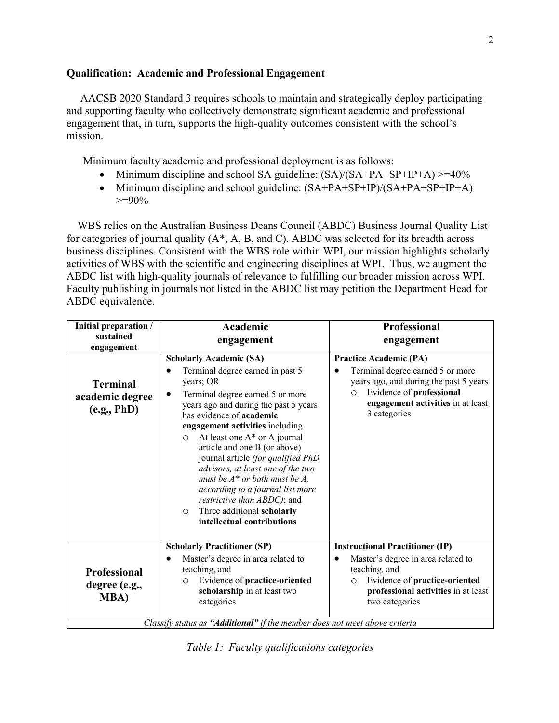## **Qualification: Academic and Professional Engagement**

 AACSB 2020 Standard 3 requires schools to maintain and strategically deploy participating and supporting faculty who collectively demonstrate significant academic and professional engagement that, in turn, supports the high-quality outcomes consistent with the school's mission.

Minimum faculty academic and professional deployment is as follows:

- Minimum discipline and school SA guideline:  $(SA)/(SA+PA+SP+IP+A) \geq 40\%$
- Minimum discipline and school guideline:  $(SA+PA+SP+IP)/(SA+PA+SP+IP+A)$  $>=90\%$

 WBS relies on the Australian Business Deans Council (ABDC) Business Journal Quality List for categories of journal quality (A\*, A, B, and C). ABDC was selected for its breadth across business disciplines. Consistent with the WBS role within WPI, our mission highlights scholarly activities of WBS with the scientific and engineering disciplines at WPI. Thus, we augment the ABDC list with high-quality journals of relevance to fulfilling our broader mission across WPI. Faculty publishing in journals not listed in the ABDC list may petition the Department Head for ABDC equivalence.

| Initial preparation /<br>sustained<br>engagement     | <b>Academic</b><br>engagement                                                                                                                                                                                                                                                                                                                                                                                                                                                                                                                                                          | <b>Professional</b><br>engagement                                                                                                                                                                       |
|------------------------------------------------------|----------------------------------------------------------------------------------------------------------------------------------------------------------------------------------------------------------------------------------------------------------------------------------------------------------------------------------------------------------------------------------------------------------------------------------------------------------------------------------------------------------------------------------------------------------------------------------------|---------------------------------------------------------------------------------------------------------------------------------------------------------------------------------------------------------|
| <b>Terminal</b><br>academic degree<br>(e.g., PhD)    | <b>Scholarly Academic (SA)</b><br>Terminal degree earned in past 5<br>years; OR<br>Terminal degree earned 5 or more<br>$\bullet$<br>years ago and during the past 5 years<br>has evidence of <b>academic</b><br>engagement activities including<br>At least one A* or A journal<br>$\circ$<br>article and one B (or above)<br>journal article (for qualified PhD<br>advisors, at least one of the two<br>must be $A^*$ or both must be $A$ ,<br>according to a journal list more<br>restrictive than ABDC); and<br>Three additional scholarly<br>$\circ$<br>intellectual contributions | <b>Practice Academic (PA)</b><br>Terminal degree earned 5 or more<br>years ago, and during the past 5 years<br>Evidence of professional<br>$\circ$<br>engagement activities in at least<br>3 categories |
| <b>Professional</b><br>degree (e.g.,<br><b>MBA</b> ) | <b>Scholarly Practitioner (SP)</b><br>Master's degree in area related to<br>teaching, and<br>Evidence of practice-oriented<br>$\circ$<br>scholarship in at least two<br>categories<br>Classify status as "Additional" if the member does not meet above criteria                                                                                                                                                                                                                                                                                                                       | <b>Instructional Practitioner (IP)</b><br>Master's degree in area related to<br>teaching. and<br>Evidence of practice-oriented<br>$\circ$<br>professional activities in at least<br>two categories      |

*Table 1: Faculty qualifications categories*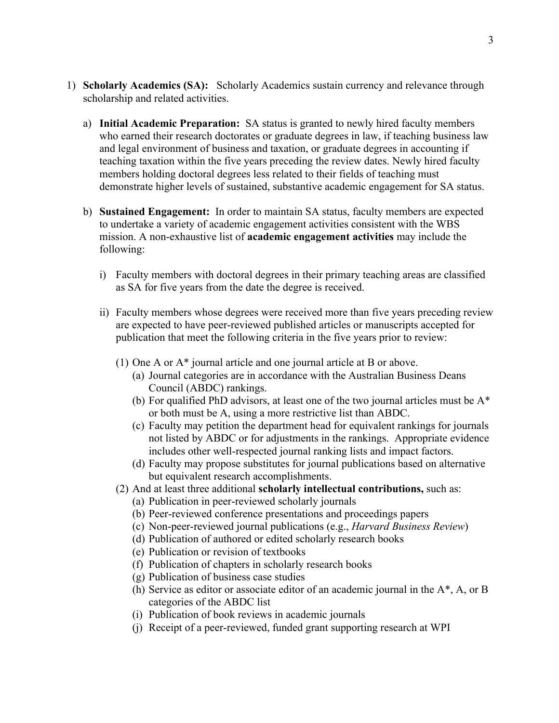- 1) **Scholarly Academics (SA):** Scholarly Academics sustain currency and relevance through scholarship and related activities.
	- a) **Initial Academic Preparation:** SA status is granted to newly hired faculty members who earned their research doctorates or graduate degrees in law, if teaching business law and legal environment of business and taxation, or graduate degrees in accounting if teaching taxation within the five years preceding the review dates. Newly hired faculty members holding doctoral degrees less related to their fields of teaching must demonstrate higher levels of sustained, substantive academic engagement for SA status.
	- b) **Sustained Engagement:** In order to maintain SA status, faculty members are expected to undertake a variety of academic engagement activities consistent with the WBS mission. A non-exhaustive list of **academic engagement activities** may include the following:
		- i) Faculty members with doctoral degrees in their primary teaching areas are classified as SA for five years from the date the degree is received.
		- ii) Faculty members whose degrees were received more than five years preceding review are expected to have peer-reviewed published articles or manuscripts accepted for publication that meet the following criteria in the five years prior to review:
			- (1) One A or A\* journal article and one journal article at B or above.
				- (a) Journal categories are in accordance with the Australian Business Deans Council (ABDC) rankings.
				- (b) For qualified PhD advisors, at least one of the two journal articles must be A\* or both must be A, using a more restrictive list than ABDC.
				- (c) Faculty may petition the department head for equivalent rankings for journals not listed by ABDC or for adjustments in the rankings. Appropriate evidence includes other well-respected journal ranking lists and impact factors.
				- (d) Faculty may propose substitutes for journal publications based on alternative but equivalent research accomplishments.
			- (2) And at least three additional **scholarly intellectual contributions,** such as:
				- (a) Publication in peer-reviewed scholarly journals
				- (b) Peer-reviewed conference presentations and proceedings papers
				- (c) Non-peer-reviewed journal publications (e.g., *Harvard Business Review*)
				- (d) Publication of authored or edited scholarly research books
				- (e) Publication or revision of textbooks
				- (f) Publication of chapters in scholarly research books
				- (g) Publication of business case studies
				- (h) Service as editor or associate editor of an academic journal in the A\*, A, or B categories of the ABDC list
				- (i) Publication of book reviews in academic journals
				- (j) Receipt of a peer-reviewed, funded grant supporting research at WPI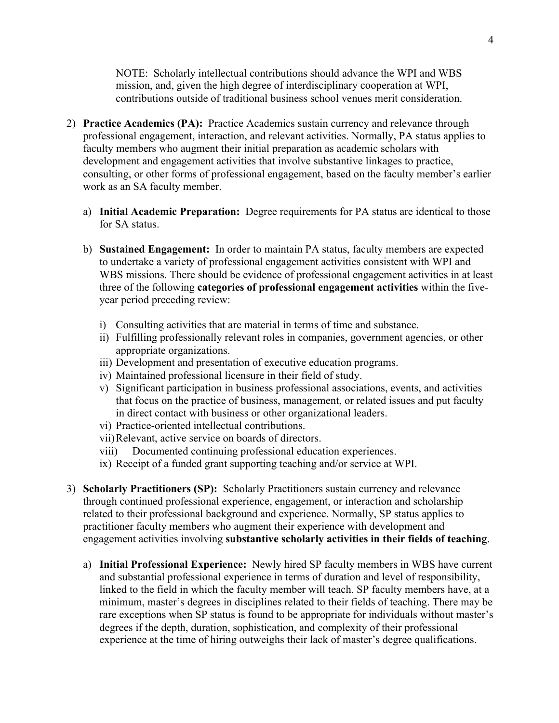NOTE: Scholarly intellectual contributions should advance the WPI and WBS mission, and, given the high degree of interdisciplinary cooperation at WPI, contributions outside of traditional business school venues merit consideration.

- 2) **Practice Academics (PA):** Practice Academics sustain currency and relevance through professional engagement, interaction, and relevant activities. Normally, PA status applies to faculty members who augment their initial preparation as academic scholars with development and engagement activities that involve substantive linkages to practice, consulting, or other forms of professional engagement, based on the faculty member's earlier work as an SA faculty member.
	- a) **Initial Academic Preparation:** Degree requirements for PA status are identical to those for SA status.
	- b) **Sustained Engagement:** In order to maintain PA status, faculty members are expected to undertake a variety of professional engagement activities consistent with WPI and WBS missions. There should be evidence of professional engagement activities in at least three of the following **categories of professional engagement activities** within the fiveyear period preceding review:
		- i) Consulting activities that are material in terms of time and substance.
		- ii) Fulfilling professionally relevant roles in companies, government agencies, or other appropriate organizations.
		- iii) Development and presentation of executive education programs.
		- iv) Maintained professional licensure in their field of study.
		- v) Significant participation in business professional associations, events, and activities that focus on the practice of business, management, or related issues and put faculty in direct contact with business or other organizational leaders.
		- vi) Practice-oriented intellectual contributions.
		- vii)Relevant, active service on boards of directors.
		- viii) Documented continuing professional education experiences.
		- ix) Receipt of a funded grant supporting teaching and/or service at WPI.
- 3) **Scholarly Practitioners (SP):** Scholarly Practitioners sustain currency and relevance through continued professional experience, engagement, or interaction and scholarship related to their professional background and experience. Normally, SP status applies to practitioner faculty members who augment their experience with development and engagement activities involving **substantive scholarly activities in their fields of teaching**.
	- a) **Initial Professional Experience:** Newly hired SP faculty members in WBS have current and substantial professional experience in terms of duration and level of responsibility, linked to the field in which the faculty member will teach. SP faculty members have, at a minimum, master's degrees in disciplines related to their fields of teaching. There may be rare exceptions when SP status is found to be appropriate for individuals without master's degrees if the depth, duration, sophistication, and complexity of their professional experience at the time of hiring outweighs their lack of master's degree qualifications.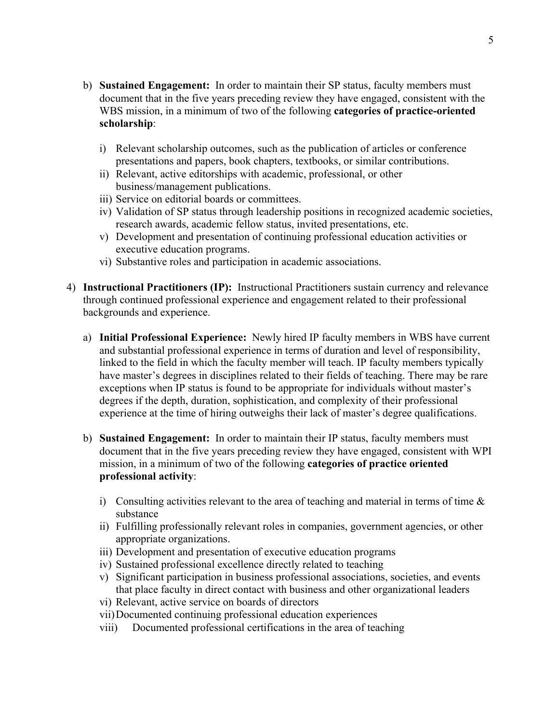- b) **Sustained Engagement:** In order to maintain their SP status, faculty members must document that in the five years preceding review they have engaged, consistent with the WBS mission, in a minimum of two of the following **categories of practice-oriented scholarship**:
	- i) Relevant scholarship outcomes, such as the publication of articles or conference presentations and papers, book chapters, textbooks, or similar contributions.
	- ii) Relevant, active editorships with academic, professional, or other business/management publications.
	- iii) Service on editorial boards or committees.
	- iv) Validation of SP status through leadership positions in recognized academic societies, research awards, academic fellow status, invited presentations, etc.
	- v) Development and presentation of continuing professional education activities or executive education programs.
	- vi) Substantive roles and participation in academic associations.
- 4) **Instructional Practitioners (IP):** Instructional Practitioners sustain currency and relevance through continued professional experience and engagement related to their professional backgrounds and experience.
	- a) **Initial Professional Experience:** Newly hired IP faculty members in WBS have current and substantial professional experience in terms of duration and level of responsibility, linked to the field in which the faculty member will teach. IP faculty members typically have master's degrees in disciplines related to their fields of teaching. There may be rare exceptions when IP status is found to be appropriate for individuals without master's degrees if the depth, duration, sophistication, and complexity of their professional experience at the time of hiring outweighs their lack of master's degree qualifications.
	- b) **Sustained Engagement:** In order to maintain their IP status, faculty members must document that in the five years preceding review they have engaged, consistent with WPI mission, in a minimum of two of the following **categories of practice oriented professional activity**:
		- i) Consulting activities relevant to the area of teaching and material in terms of time  $\&$ substance
		- ii) Fulfilling professionally relevant roles in companies, government agencies, or other appropriate organizations.
		- iii) Development and presentation of executive education programs
		- iv) Sustained professional excellence directly related to teaching
		- v) Significant participation in business professional associations, societies, and events that place faculty in direct contact with business and other organizational leaders
		- vi) Relevant, active service on boards of directors
		- vii)Documented continuing professional education experiences
		- viii) Documented professional certifications in the area of teaching